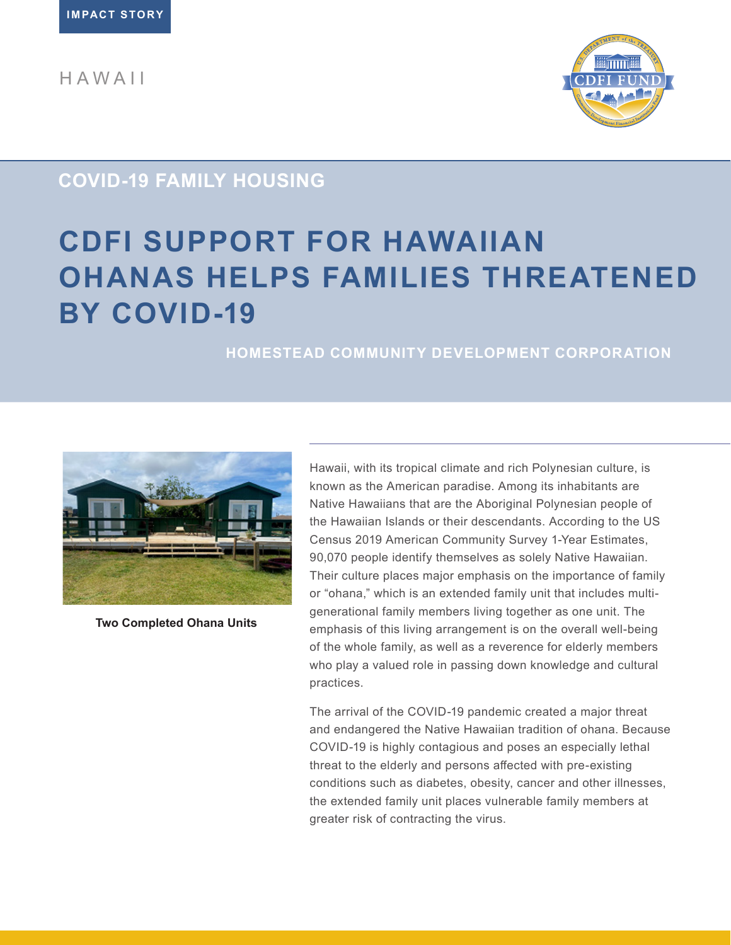HAWAII



## **COVID-19 FAMILY HOUSING**

# **CDFI SUPPORT FOR HAWAIIAN OHANAS HELPS FAMILIES THREATENED BY COVID-19**

### **HOMESTEAD COMMUNITY DEVELOPMENT CORPORATION**



**Two Completed Ohana Units**

Hawaii, with its tropical climate and rich Polynesian culture, is known as the American paradise. Among its inhabitants are Native Hawaiians that are the Aboriginal Polynesian people of the Hawaiian Islands or their descendants. According to the US Census 2019 American Community Survey 1-Year Estimates, 90,070 people identify themselves as solely Native Hawaiian. Their culture places major emphasis on the importance of family or "ohana," which is an extended family unit that includes multigenerational family members living together as one unit. The emphasis of this living arrangement is on the overall well-being of the whole family, as well as a reverence for elderly members who play a valued role in passing down knowledge and cultural practices.

The arrival of the COVID-19 pandemic created a major threat and endangered the Native Hawaiian tradition of ohana. Because COVID-19 is highly contagious and poses an especially lethal threat to the elderly and persons affected with pre-existing conditions such as diabetes, obesity, cancer and other illnesses, the extended family unit places vulnerable family members at greater risk of contracting the virus.